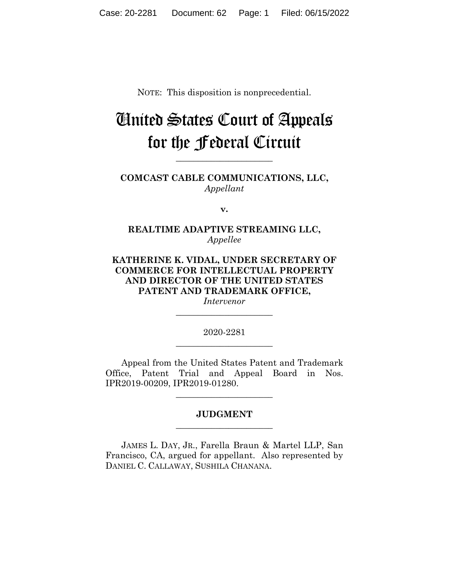NOTE: This disposition is nonprecedential.

## United States Court of Appeals for the Federal Circuit

**COMCAST CABLE COMMUNICATIONS, LLC,** *Appellant*

**\_\_\_\_\_\_\_\_\_\_\_\_\_\_\_\_\_\_\_\_\_\_** 

**v.**

**REALTIME ADAPTIVE STREAMING LLC,** *Appellee*

**KATHERINE K. VIDAL, UNDER SECRETARY OF COMMERCE FOR INTELLECTUAL PROPERTY AND DIRECTOR OF THE UNITED STATES PATENT AND TRADEMARK OFFICE,** *Intervenor*

> 2020-2281 **\_\_\_\_\_\_\_\_\_\_\_\_\_\_\_\_\_\_\_\_\_\_**

> **\_\_\_\_\_\_\_\_\_\_\_\_\_\_\_\_\_\_\_\_\_\_**

Appeal from the United States Patent and Trademark Office, Patent Trial and Appeal Board in Nos. IPR2019-00209, IPR2019-01280.

## **JUDGMENT \_\_\_\_\_\_\_\_\_\_\_\_\_\_\_\_\_\_\_\_\_\_**

**\_\_\_\_\_\_\_\_\_\_\_\_\_\_\_\_\_\_\_\_\_\_** 

JAMES L. DAY, JR., Farella Braun & Martel LLP, San Francisco, CA, argued for appellant. Also represented by DANIEL C. CALLAWAY, SUSHILA CHANANA.